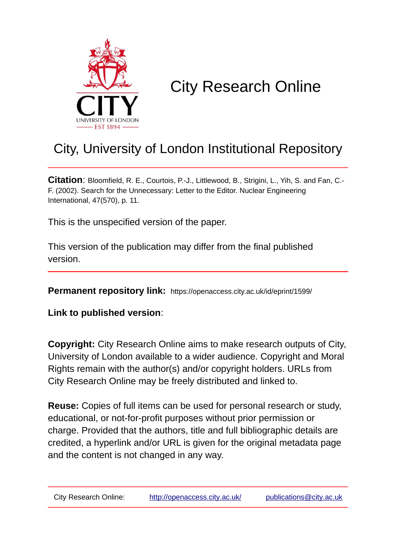

# City Research Online

## City, University of London Institutional Repository

**Citation**: Bloomfield, R. E., Courtois, P.-J., Littlewood, B., Strigini, L., Yih, S. and Fan, C.- F. (2002). Search for the Unnecessary: Letter to the Editor. Nuclear Engineering International, 47(570), p. 11.

This is the unspecified version of the paper.

This version of the publication may differ from the final published version.

**Permanent repository link:** https://openaccess.city.ac.uk/id/eprint/1599/

**Link to published version**:

**Copyright:** City Research Online aims to make research outputs of City, University of London available to a wider audience. Copyright and Moral Rights remain with the author(s) and/or copyright holders. URLs from City Research Online may be freely distributed and linked to.

**Reuse:** Copies of full items can be used for personal research or study, educational, or not-for-profit purposes without prior permission or charge. Provided that the authors, title and full bibliographic details are credited, a hyperlink and/or URL is given for the original metadata page and the content is not changed in any way.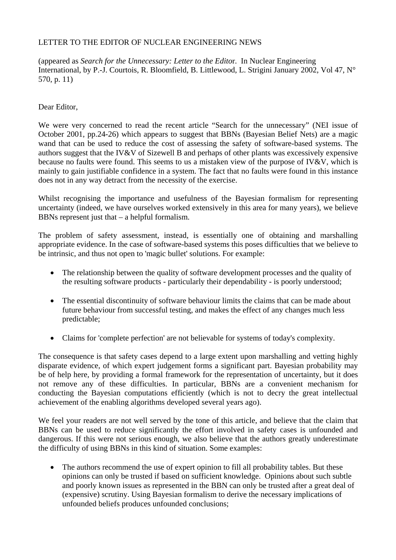### LETTER TO THE EDITOR OF NUCLEAR ENGINEERING NEWS

(appeared as *Search for the Unnecessary: Letter to the Edito*r. In Nuclear Engineering International, by P.-J. Courtois, R. Bloomfield, B. Littlewood, L. Strigini January 2002, Vol 47, N° 570, p. 11)

### Dear Editor,

We were very concerned to read the recent article "Search for the unnecessary" (NEI issue of October 2001, pp.24-26) which appears to suggest that BBNs (Bayesian Belief Nets) are a magic wand that can be used to reduce the cost of assessing the safety of software-based systems. The authors suggest that the IV&V of Sizewell B and perhaps of other plants was excessively expensive because no faults were found. This seems to us a mistaken view of the purpose of IV&V, which is mainly to gain justifiable confidence in a system. The fact that no faults were found in this instance does not in any way detract from the necessity of the exercise.

Whilst recognising the importance and usefulness of the Bayesian formalism for representing uncertainty (indeed, we have ourselves worked extensively in this area for many years), we believe BBNs represent just that – a helpful formalism.

The problem of safety assessment, instead, is essentially one of obtaining and marshalling appropriate evidence. In the case of software-based systems this poses difficulties that we believe to be intrinsic, and thus not open to 'magic bullet' solutions. For example:

- The relationship between the quality of software development processes and the quality of the resulting software products - particularly their dependability - is poorly understood;
- The essential discontinuity of software behaviour limits the claims that can be made about future behaviour from successful testing, and makes the effect of any changes much less predictable;
- Claims for 'complete perfection' are not believable for systems of today's complexity.

The consequence is that safety cases depend to a large extent upon marshalling and vetting highly disparate evidence, of which expert judgement forms a significant part. Bayesian probability may be of help here, by providing a formal framework for the representation of uncertainty, but it does not remove any of these difficulties. In particular, BBNs are a convenient mechanism for conducting the Bayesian computations efficiently (which is not to decry the great intellectual achievement of the enabling algorithms developed several years ago).

We feel your readers are not well served by the tone of this article, and believe that the claim that BBNs can be used to reduce significantly the effort involved in safety cases is unfounded and dangerous. If this were not serious enough, we also believe that the authors greatly underestimate the difficulty of using BBNs in this kind of situation. Some examples:

• The authors recommend the use of expert opinion to fill all probability tables. But these opinions can only be trusted if based on sufficient knowledge. Opinions about such subtle and poorly known issues as represented in the BBN can only be trusted after a great deal of (expensive) scrutiny. Using Bayesian formalism to derive the necessary implications of unfounded beliefs produces unfounded conclusions;